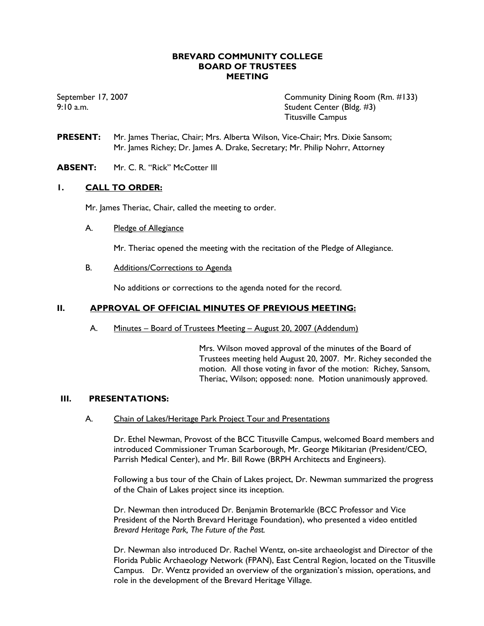### **BREVARD COMMUNITY COLLEGE BOARD OF TRUSTEES MEETING**

September 17, 2007 Community Dining Room (Rm. #133) 9:10 a.m. Student Center (Bldg. #3) Titusville Campus

- **PRESENT:** Mr. James Theriac, Chair; Mrs. Alberta Wilson, Vice-Chair; Mrs. Dixie Sansom; Mr. James Richey; Dr. James A. Drake, Secretary; Mr. Philip Nohrr, Attorney
- **ABSENT:** Mr. C. R. "Rick" McCotter III

### **1. CALL TO ORDER:**

Mr. James Theriac, Chair, called the meeting to order.

### A. Pledge of Allegiance

Mr. Theriac opened the meeting with the recitation of the Pledge of Allegiance.

B. Additions/Corrections to Agenda

No additions or corrections to the agenda noted for the record.

### **II. APPROVAL OF OFFICIAL MINUTES OF PREVIOUS MEETING:**

A. Minutes – Board of Trustees Meeting – August 20, 2007 (Addendum)

Mrs. Wilson moved approval of the minutes of the Board of Trustees meeting held August 20, 2007. Mr. Richey seconded the motion. All those voting in favor of the motion: Richey, Sansom, Theriac, Wilson; opposed: none. Motion unanimously approved.

#### **III. PRESENTATIONS:**

A. Chain of Lakes/Heritage Park Project Tour and Presentations

Dr. Ethel Newman, Provost of the BCC Titusville Campus, welcomed Board members and introduced Commissioner Truman Scarborough, Mr. George Mikitarian (President/CEO, Parrish Medical Center), and Mr. Bill Rowe (BRPH Architects and Engineers).

Following a bus tour of the Chain of Lakes project, Dr. Newman summarized the progress of the Chain of Lakes project since its inception.

Dr. Newman then introduced Dr. Benjamin Brotemarkle (BCC Professor and Vice President of the North Brevard Heritage Foundation), who presented a video entitled *Brevard Heritage Park, The Future of the Past.*

Dr. Newman also introduced Dr. Rachel Wentz, on-site archaeologist and Director of the Florida Public Archaeology Network (FPAN), East Central Region, located on the Titusville Campus. Dr. Wentz provided an overview of the organization's mission, operations, and role in the development of the Brevard Heritage Village.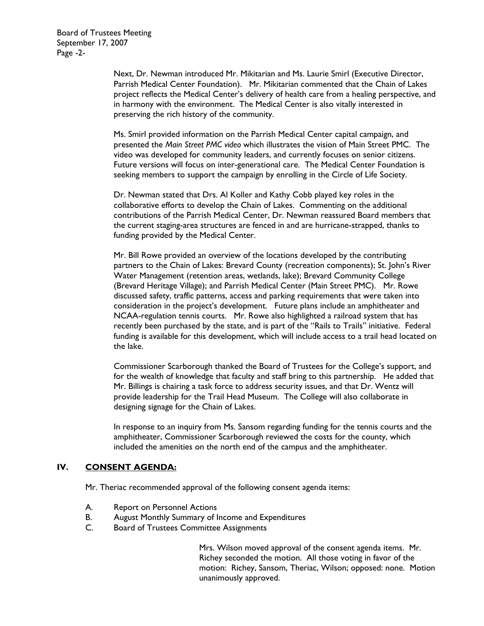Next, Dr. Newman introduced Mr. Mikitarian and Ms. Laurie Smirl (Executive Director, Parrish Medical Center Foundation). Mr. Mikitarian commented that the Chain of Lakes project reflects the Medical Center's delivery of health care from a healing perspective, and in harmony with the environment. The Medical Center is also vitally interested in preserving the rich history of the community.

Ms. Smirl provided information on the Parrish Medical Center capital campaign, and presented the *Main Street PMC video* which illustrates the vision of Main Street PMC. The video was developed for community leaders, and currently focuses on senior citizens. Future versions will focus on inter-generational care. The Medical Center Foundation is seeking members to support the campaign by enrolling in the Circle of Life Society.

Dr. Newman stated that Drs. Al Koller and Kathy Cobb played key roles in the collaborative efforts to develop the Chain of Lakes. Commenting on the additional contributions of the Parrish Medical Center, Dr. Newman reassured Board members that the current staging-area structures are fenced in and are hurricane-strapped, thanks to funding provided by the Medical Center.

Mr. Bill Rowe provided an overview of the locations developed by the contributing partners to the Chain of Lakes: Brevard County (recreation components); St. John's River Water Management (retention areas, wetlands, lake); Brevard Community College (Brevard Heritage Village); and Parrish Medical Center (Main Street PMC). Mr. Rowe discussed safety, traffic patterns, access and parking requirements that were taken into consideration in the project's development. Future plans include an amphitheater and NCAA-regulation tennis courts. Mr. Rowe also highlighted a railroad system that has recently been purchased by the state, and is part of the "Rails to Trails" initiative. Federal funding is available for this development, which will include access to a trail head located on the lake.

Commissioner Scarborough thanked the Board of Trustees for the College's support, and for the wealth of knowledge that faculty and staff bring to this partnership. He added that Mr. Billings is chairing a task force to address security issues, and that Dr. Wentz will provide leadership for the Trail Head Museum. The College will also collaborate in designing signage for the Chain of Lakes.

In response to an inquiry from Ms. Sansom regarding funding for the tennis courts and the amphitheater, Commissioner Scarborough reviewed the costs for the county, which included the amenities on the north end of the campus and the amphitheater.

# **IV. CONSENT AGENDA:**

Mr. Theriac recommended approval of the following consent agenda items:

- A. Report on Personnel Actions
- B. August Monthly Summary of Income and Expenditures
- C. Board of Trustees Committee Assignments

Mrs. Wilson moved approval of the consent agenda items. Mr. Richey seconded the motion. All those voting in favor of the motion: Richey, Sansom, Theriac, Wilson; opposed: none. Motion unanimously approved.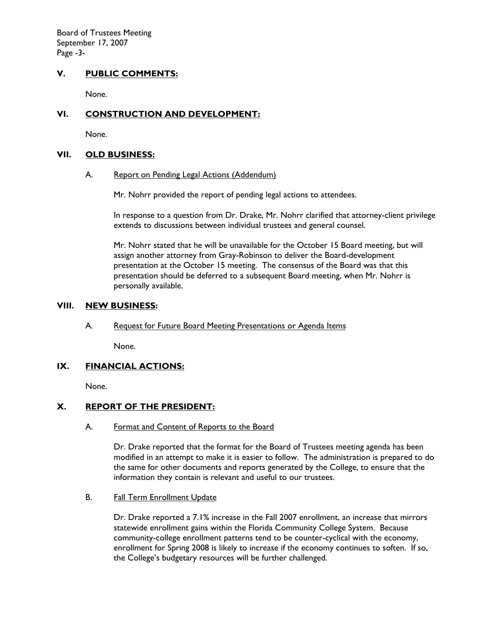Board of Trustees Meeting September 17, 2007 Page -3-

# **V. PUBLIC COMMENTS:**

None.

# **VI. CONSTRUCTION AND DEVELOPMENT:**

None.

#### **VII. OLD BUSINESS:**

#### A. Report on Pending Legal Actions (Addendum)

Mr. Nohrr provided the report of pending legal actions to attendees.

In response to a question from Dr. Drake, Mr. Nohrr clarified that attorney-client privilege extends to discussions between individual trustees and general counsel.

Mr. Nohrr stated that he will be unavailable for the October 15 Board meeting, but will assign another attorney from Gray-Robinson to deliver the Board-development presentation at the October 15 meeting. The consensus of the Board was that this presentation should be deferred to a subsequent Board meeting, when Mr. Nohrr is personally available.

### **VIII. NEW BUSINESS:**

### A. Request for Future Board Meeting Presentations or Agenda Items

None.

### **IX. FINANCIAL ACTIONS:**

None.

### **X. REPORT OF THE PRESIDENT:**

A. Format and Content of Reports to the Board

Dr. Drake reported that the format for the Board of Trustees meeting agenda has been modified in an attempt to make it is easier to follow. The administration is prepared to do the same for other documents and reports generated by the College, to ensure that the information they contain is relevant and useful to our trustees.

B. Fall Term Enrollment Update

Dr. Drake reported a 7.1% increase in the Fall 2007 enrollment, an increase that mirrors statewide enrollment gains within the Florida Community College System. Because community-college enrollment patterns tend to be counter-cyclical with the economy, enrollment for Spring 2008 is likely to increase if the economy continues to soften. If so, the College's budgetary resources will be further challenged.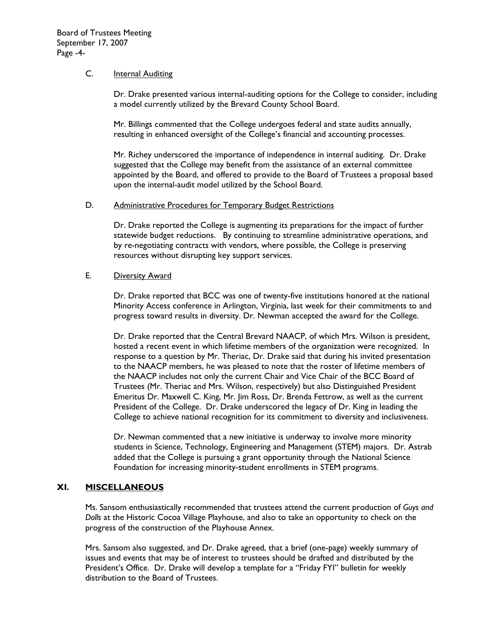### C. **Internal Auditing**

 Dr. Drake presented various internal-auditing options for the College to consider, including a model currently utilized by the Brevard County School Board.

 Mr. Billings commented that the College undergoes federal and state audits annually, resulting in enhanced oversight of the College's financial and accounting processes.

Mr. Richey underscored the importance of independence in internal auditing. Dr. Drake suggested that the College may benefit from the assistance of an external committee appointed by the Board, and offered to provide to the Board of Trustees a proposal based upon the internal-audit model utilized by the School Board.

#### D. Administrative Procedures for Temporary Budget Restrictions

Dr. Drake reported the College is augmenting its preparations for the impact of further statewide budget reductions. By continuing to streamline administrative operations, and by re-negotiating contracts with vendors, where possible, the College is preserving resources without disrupting key support services.

#### E. Diversity Award

Dr. Drake reported that BCC was one of twenty-five institutions honored at the national Minority Access conference in Arlington, Virginia, last week for their commitments to and progress toward results in diversity. Dr. Newman accepted the award for the College.

Dr. Drake reported that the Central Brevard NAACP, of which Mrs. Wilson is president, hosted a recent event in which lifetime members of the organization were recognized. In response to a question by Mr. Theriac, Dr. Drake said that during his invited presentation to the NAACP members, he was pleased to note that the roster of lifetime members of the NAACP includes not only the current Chair and Vice Chair of the BCC Board of Trustees (Mr. Theriac and Mrs. Wilson, respectively) but also Distinguished President Emeritus Dr. Maxwell C. King, Mr. Jim Ross, Dr. Brenda Fettrow, as well as the current President of the College. Dr. Drake underscored the legacy of Dr. King in leading the College to achieve national recognition for its commitment to diversity and inclusiveness.

Dr. Newman commented that a new initiative is underway to involve more minority students in Science, Technology, Engineering and Management (STEM) majors. Dr. Astrab added that the College is pursuing a grant opportunity through the National Science Foundation for increasing minority-student enrollments in STEM programs.

# **XI. MISCELLANEOUS**

Ms. Sansom enthusiastically recommended that trustees attend the current production of *Guys and Dolls* at the Historic Cocoa Village Playhouse, and also to take an opportunity to check on the progress of the construction of the Playhouse Annex.

Mrs. Sansom also suggested, and Dr. Drake agreed, that a brief (one-page) weekly summary of issues and events that may be of interest to trustees should be drafted and distributed by the President's Office. Dr. Drake will develop a template for a "Friday FYI" bulletin for weekly distribution to the Board of Trustees.